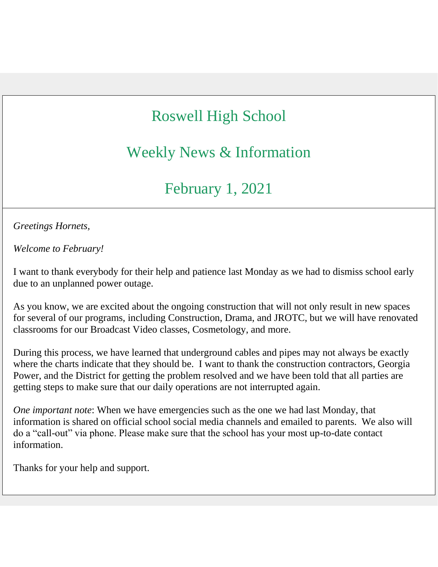# Roswell High School

## Weekly News & Information

February 1, 2021

*Greetings Hornets,*

*Welcome to February!*

I want to thank everybody for their help and patience last Monday as we had to dismiss school early due to an unplanned power outage.

As you know, we are excited about the ongoing construction that will not only result in new spaces for several of our programs, including Construction, Drama, and JROTC, but we will have renovated classrooms for our Broadcast Video classes, Cosmetology, and more.

During this process, we have learned that underground cables and pipes may not always be exactly where the charts indicate that they should be. I want to thank the construction contractors, Georgia Power, and the District for getting the problem resolved and we have been told that all parties are getting steps to make sure that our daily operations are not interrupted again.

*One important note*: When we have emergencies such as the one we had last Monday, that information is shared on official school social media channels and emailed to parents. We also will do a "call-out" via phone. Please make sure that the school has your most up-to-date contact information.

Thanks for your help and support.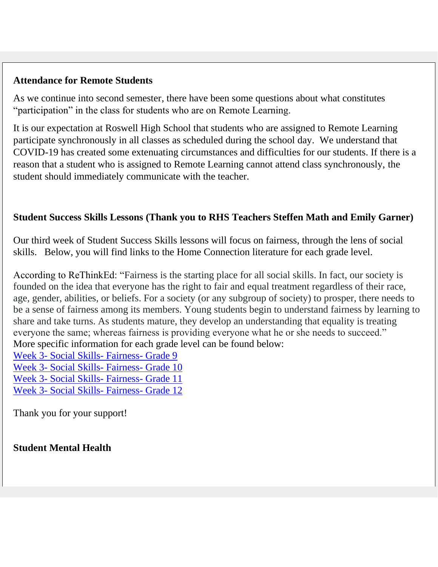#### **Attendance for Remote Students**

As we continue into second semester, there have been some questions about what constitutes "participation" in the class for students who are on Remote Learning.

It is our expectation at Roswell High School that students who are assigned to Remote Learning participate synchronously in all classes as scheduled during the school day. We understand that COVID-19 has created some extenuating circumstances and difficulties for our students. If there is a reason that a student who is assigned to Remote Learning cannot attend class synchronously, the student should immediately communicate with the teacher.

#### **Student Success Skills Lessons (Thank you to RHS Teachers Steffen Math and Emily Garner)**

Our third week of Student Success Skills lessons will focus on fairness, through the lens of social skills. Below, you will find links to the Home Connection literature for each grade level.

According to ReThinkEd: "Fairness is the starting place for all social skills. In fact, our society is founded on the idea that everyone has the right to fair and equal treatment regardless of their race, age, gender, abilities, or beliefs. For a society (or any subgroup of society) to prosper, there needs to be a sense of fairness among its members. Young students begin to understand fairness by learning to share and take turns. As students mature, they develop an understanding that equality is treating everyone the same; whereas fairness is providing everyone what he or she needs to succeed." More specific information for each grade level can be found below:

Week 3- [Social Skills-](https://fultonk12-my.sharepoint.com/:b:/g/personal/garnere_fultonschools_org/EWNeW851l5ZPuwqZAWTMDccBD6cvhGI1eZS7wMdffM7p9Q?e=IZfpnh) Fairness- Grade 9 Week 3- [Social Skills-](https://fultonk12-my.sharepoint.com/:b:/g/personal/garnere_fultonschools_org/EY9IMTqftcBJnv6jBv0UAe0B3zrH24LwvD7YTlsB3G7HUQ?e=1UI7NY) Fairness- Grade 10 Week 3- [Social Skills-](https://fultonk12-my.sharepoint.com/:b:/g/personal/garnere_fultonschools_org/EbFP6iurk05Ino9A7V7mfdEBHSEqgASqo4EwpTHAw7CvDA?e=K4Jb5xhttps://fultonk12-my.sharepoint.com/:b:/g/personal/garnere_fultonschools_org/EbFP6iurk05Ino9A7V7mfdEBHSEqgASqo4EwpTHAw7CvDA?e=K4Jb5x) Fairness- Grade 11 Week 3- [Social Skills-](https://fultonk12-my.sharepoint.com/:b:/g/personal/garnere_fultonschools_org/EaebLWIHrC9Ev0q3FesprXoBIUAEEkvGjzc88kXjGos8JQ?e=EER5w6) Fairness- Grade 12

Thank you for your support!

**Student Mental Health**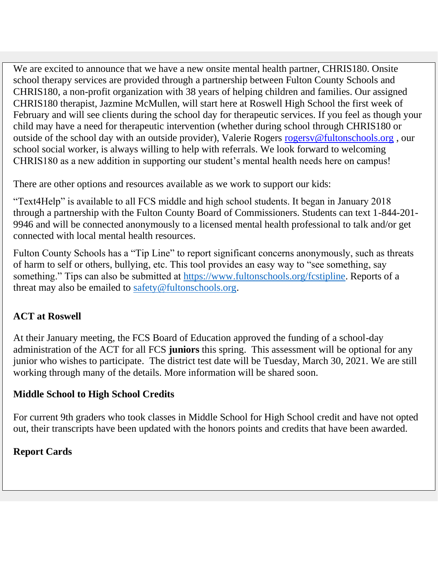We are excited to announce that we have a new onsite mental health partner, CHRIS180. Onsite school therapy services are provided through a partnership between Fulton County Schools and CHRIS180, a non-profit organization with 38 years of helping children and families. Our assigned CHRIS180 therapist, Jazmine McMullen, will start here at Roswell High School the first week of February and will see clients during the school day for therapeutic services. If you feel as though your child may have a need for therapeutic intervention (whether during school through CHRIS180 or outside of the school day with an outside provider), Valerie Rogers [rogersv@fultonschools.org](mailto:rogersv@fultonschools.org) , our school social worker, is always willing to help with referrals. We look forward to welcoming CHRIS180 as a new addition in supporting our student's mental health needs here on campus!

There are other options and resources available as we work to support our kids:

"Text4Help" is available to all FCS middle and high school students. It began in January 2018 through a partnership with the Fulton County Board of Commissioners. Students can text 1-844-201- 9946 and will be connected anonymously to a licensed mental health professional to talk and/or get connected with local mental health resources.

Fulton County Schools has a "Tip Line" to report significant concerns anonymously, such as threats of harm to self or others, bullying, etc. This tool provides an easy way to "see something, say something." Tips can also be submitted at [https://www.fultonschools.org/fcstipline.](https://www.fultonschools.org/fcstipline) Reports of a threat may also be emailed to [safety@fultonschools.org.](mailto:safety@fultonschools.org)

## **ACT at Roswell**

At their January meeting, the FCS Board of Education approved the funding of a school-day administration of the ACT for all FCS **juniors** this spring. This assessment will be optional for any junior who wishes to participate. The district test date will be Tuesday, March 30, 2021. We are still working through many of the details. More information will be shared soon.

#### **Middle School to High School Credits**

For current 9th graders who took classes in Middle School for High School credit and have not opted out, their transcripts have been updated with the honors points and credits that have been awarded.

#### **Report Cards**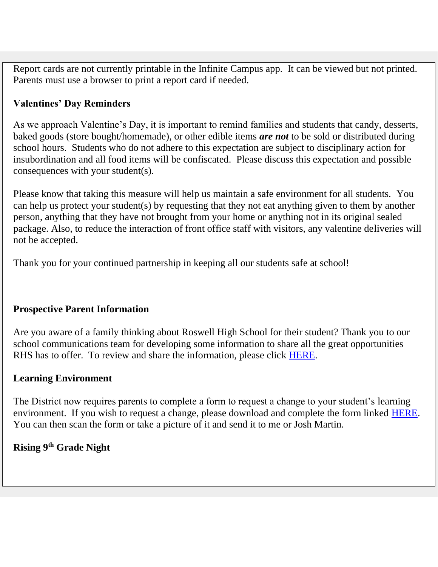Report cards are not currently printable in the Infinite Campus app. It can be viewed but not printed. Parents must use a browser to print a report card if needed.

#### **Valentines' Day Reminders**

As we approach Valentine's Day, it is important to remind families and students that candy, desserts, baked goods (store bought/homemade), or other edible items *are not* to be sold or distributed during school hours. Students who do not adhere to this expectation are subject to disciplinary action for insubordination and all food items will be confiscated. Please discuss this expectation and possible consequences with your student(s).

Please know that taking this measure will help us maintain a safe environment for all students. You can help us protect your student(s) by requesting that they not eat anything given to them by another person, anything that they have not brought from your home or anything not in its original sealed package. Also, to reduce the interaction of front office staff with visitors, any valentine deliveries will not be accepted.

Thank you for your continued partnership in keeping all our students safe at school!

#### **Prospective Parent Information**

Are you aware of a family thinking about Roswell High School for their student? Thank you to our school communications team for developing some information to share all the great opportunities RHS has to offer. To review and share the information, please click [HERE.](https://www.fultonschools.org/cms/lib/GA50000114/Centricity/Domain/7454/Prospective%20Family%20Packet%202021%20rev.pdf)

#### **Learning Environment**

The District now requires parents to complete a form to request a change to your student's learning environment. If you wish to request a change, please download and complete the form linked [HERE.](https://www.fultonschools.org/cms/lib/GA50000114/Centricity/ModuleInstance/34745/Learning%20Environment%20Hardship.pdf) You can then scan the form or take a picture of it and send it to me or Josh Martin.

#### **Rising 9th Grade Night**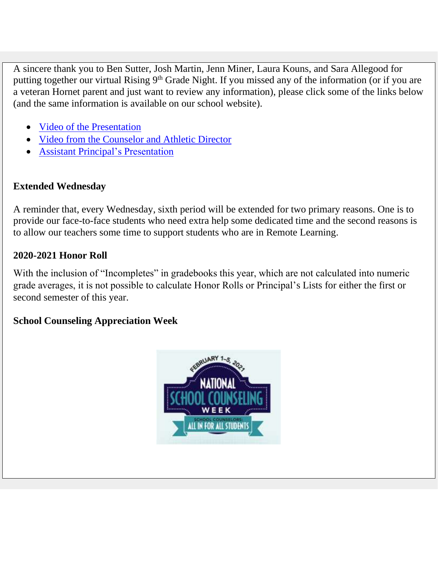A sincere thank you to Ben Sutter, Josh Martin, Jenn Miner, Laura Kouns, and Sara Allegood for putting together our virtual Rising 9<sup>th</sup> Grade Night. If you missed any of the information (or if you are a veteran Hornet parent and just want to review any information), please click some of the links below (and the same information is available on our school website).

- [Video of the Presentation](https://youtu.be/T1BbBmwGa08)
- [Video from the Counselor and Athletic Director](https://youtu.be/ZVKoY59NJcU)
- [Assistant Principal's Presentation](https://www.fultonschools.org/cms/lib/GA50000114/Centricity/Domain/98/Showcase.pdf)

## **Extended Wednesday**

A reminder that, every Wednesday, sixth period will be extended for two primary reasons. One is to provide our face-to-face students who need extra help some dedicated time and the second reasons is to allow our teachers some time to support students who are in Remote Learning.

## **2020-2021 Honor Roll**

With the inclusion of "Incompletes" in gradebooks this year, which are not calculated into numeric grade averages, it is not possible to calculate Honor Rolls or Principal's Lists for either the first or second semester of this year.

## **School Counseling Appreciation Week**

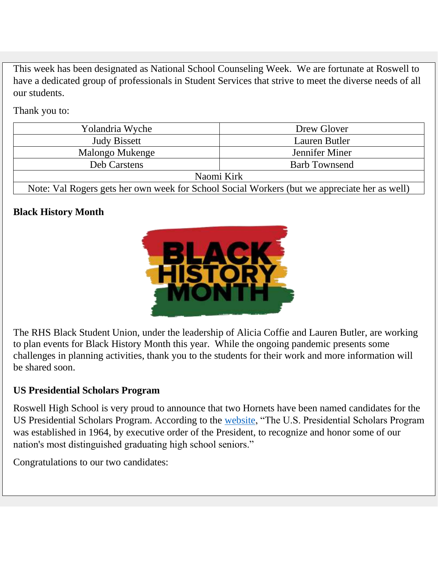This week has been designated as National School Counseling Week. We are fortunate at Roswell to have a dedicated group of professionals in Student Services that strive to meet the diverse needs of all our students.

Thank you to:

| Yolandria Wyche     | Drew Glover          |
|---------------------|----------------------|
| <b>Judy Bissett</b> | Lauren Butler        |
| Malongo Mukenge     | Jennifer Miner       |
| Deb Carstens        | <b>Barb Townsend</b> |
| Naomi Kirk          |                      |

Note: Val Rogers gets her own week for School Social Workers (but we appreciate her as well)

## **Black History Month**



The RHS Black Student Union, under the leadership of Alicia Coffie and Lauren Butler, are working to plan events for Black History Month this year. While the ongoing pandemic presents some challenges in planning activities, thank you to the students for their work and more information will be shared soon.

#### **US Presidential Scholars Program**

Roswell High School is very proud to announce that two Hornets have been named candidates for the US Presidential Scholars Program. According to the [website,](https://www2.ed.gov/programs/psp/index.html) "The U.S. Presidential Scholars Program was established in 1964, by executive order of the President, to recognize and honor some of our nation's most distinguished graduating high school seniors."

Congratulations to our two candidates: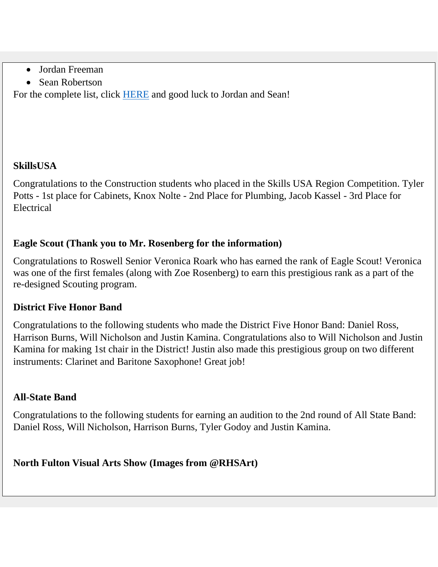- Jordan Freeman
- Sean Robertson

For the complete list, click [HERE](https://www2.ed.gov/programs/psp/2021/candidates.pdf) and good luck to Jordan and Sean!

#### **SkillsUSA**

Congratulations to the Construction students who placed in the Skills USA Region Competition. Tyler Potts - 1st place for Cabinets, Knox Nolte - 2nd Place for Plumbing, Jacob Kassel - 3rd Place for Electrical

## **Eagle Scout (Thank you to Mr. Rosenberg for the information)**

Congratulations to Roswell Senior Veronica Roark who has earned the rank of Eagle Scout! Veronica was one of the first females (along with Zoe Rosenberg) to earn this prestigious rank as a part of the re-designed Scouting program.

## **District Five Honor Band**

Congratulations to the following students who made the District Five Honor Band: Daniel Ross, Harrison Burns, Will Nicholson and Justin Kamina. Congratulations also to Will Nicholson and Justin Kamina for making 1st chair in the District! Justin also made this prestigious group on two different instruments: Clarinet and Baritone Saxophone! Great job!

## **All-State Band**

Congratulations to the following students for earning an audition to the 2nd round of All State Band: Daniel Ross, Will Nicholson, Harrison Burns, Tyler Godoy and Justin Kamina.

**North Fulton Visual Arts Show (Images from @RHSArt)**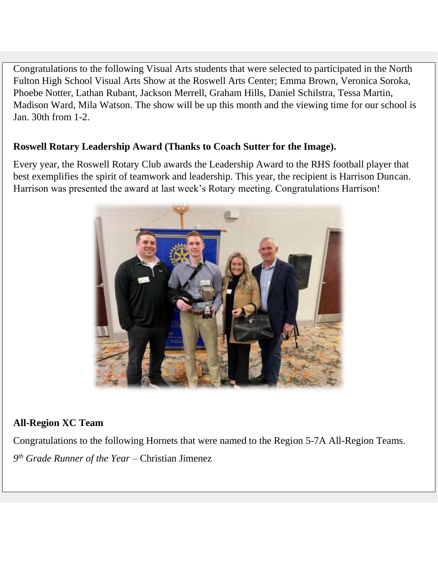Congratulations to the following Visual Arts students that were selected to participated in the North Fulton High School Visual Arts Show at the Roswell Arts Center; Emma Brown, Veronica Soroka, Phoebe Notter, Lathan Rubant, Jackson Merrell, Graham Hills, Daniel Schilstra, Tessa Martin, Madison Ward, Mila Watson. The show will be up this month and the viewing time for our school is Jan. 30th from 1-2.

#### **Roswell Rotary Leadership Award (Thanks to Coach Sutter for the Image).**

Every year, the Roswell Rotary Club awards the Leadership Award to the RHS football player that best exemplifies the spirit of teamwork and leadership. This year, the recipient is Harrison Duncan. Harrison was presented the award at last week's Rotary meeting. Congratulations Harrison!



#### **All-Region XC Team**

Congratulations to the following Hornets that were named to the Region 5-7A All-Region Teams. *9 th Grade Runner of the Year* – Christian Jimenez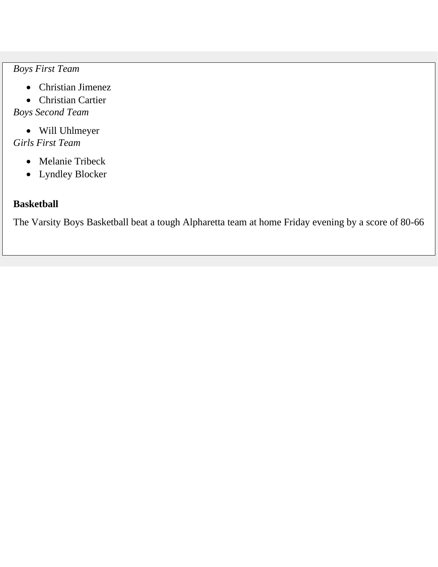*Boys First Team*

- Christian Jimenez
- Christian Cartier

*Boys Second Team*

• Will Uhlmeyer

*Girls First Team*

- Melanie Tribeck
- Lyndley Blocker

## **Basketball**

The Varsity Boys Basketball beat a tough Alpharetta team at home Friday evening by a score of 80-66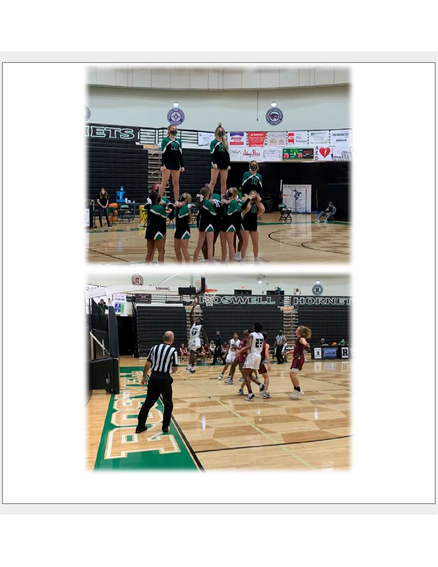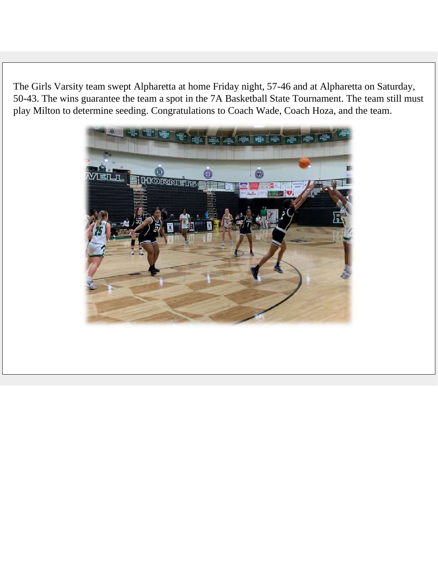The Girls Varsity team swept Alpharetta at home Friday night, 57-46 and at Alpharetta on Saturday, 50-43. The wins guarantee the team a spot in the 7A Basketball State Tournament. The team still must play Milton to determine seeding. Congratulations to Coach Wade, Coach Hoza, and the team.

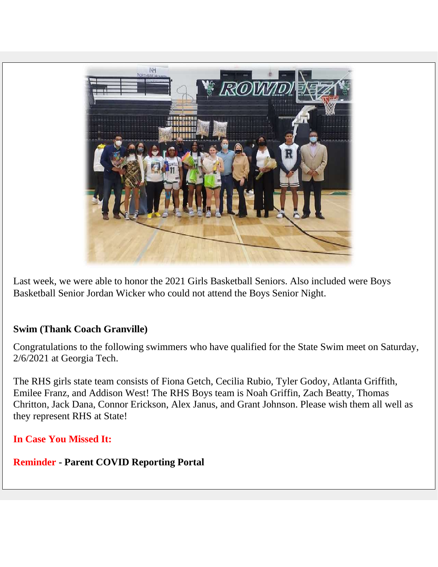

Last week, we were able to honor the 2021 Girls Basketball Seniors. Also included were Boys Basketball Senior Jordan Wicker who could not attend the Boys Senior Night.

#### **Swim (Thank Coach Granville)**

Congratulations to the following swimmers who have qualified for the State Swim meet on Saturday, 2/6/2021 at Georgia Tech.

The RHS girls state team consists of Fiona Getch, Cecilia Rubio, Tyler Godoy, Atlanta Griffith, Emilee Franz, and Addison West! The RHS Boys team is Noah Griffin, Zach Beatty, Thomas Chritton, Jack Dana, Connor Erickson, Alex Janus, and Grant Johnson. Please wish them all well as they represent RHS at State!

**In Case You Missed It:**

**Reminder - Parent COVID Reporting Portal**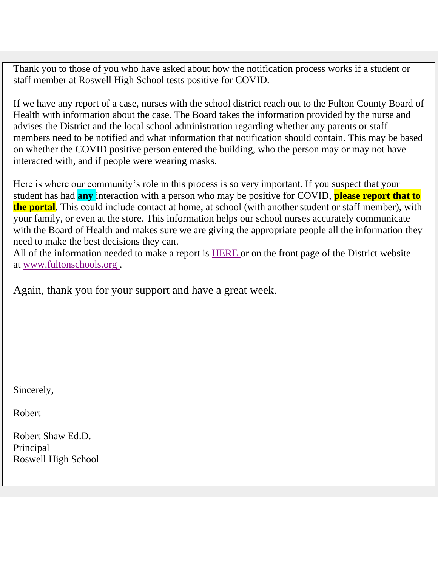Thank you to those of you who have asked about how the notification process works if a student or staff member at Roswell High School tests positive for COVID.

If we have any report of a case, nurses with the school district reach out to the Fulton County Board of Health with information about the case. The Board takes the information provided by the nurse and advises the District and the local school administration regarding whether any parents or staff members need to be notified and what information that notification should contain. This may be based on whether the COVID positive person entered the building, who the person may or may not have interacted with, and if people were wearing masks.

Here is where our community's role in this process is so very important. If you suspect that your student has had **any** interaction with a person who may be positive for COVID, **please report that to the portal**. This could include contact at home, at school (with another student or staff member), with your family, or even at the store. This information helps our school nurses accurately communicate with the Board of Health and makes sure we are giving the appropriate people all the information they need to make the best decisions they can.

All of the information needed to make a report is **[HERE](https://nam03.safelinks.protection.outlook.com/?url=https%3A%2F%2Ffultonschools.az1.qualtrics.com%2Fjfe%2Fform%2FSV_6hWlX46FNk8pNlz&data=04%7C01%7Cshawr%40fultonschools.org%7Cdb409d624d0944d172fa08d875e43c3f%7C0cdcb19881694b70ba9fda7e3ba700c2%7C1%7C0%7C637388970416372511%7CUnknown%7CTWFpbGZsb3d8eyJWIjoiMC4wLjAwMDAiLCJQIjoiV2luMzIiLCJBTiI6Ik1haWwiLCJXVCI6Mn0%3D%7C1000&sdata=Hdyxb7Ua5Q3IETozu9OB7gQk03hcw1kwPxoR9rL9yrg%3D&reserved=0)** or on the front page of the District website at [www.fultonschools.org](http://www.fultonschools.org/) .

Again, thank you for your support and have a great week.

Sincerely,

Robert

Robert Shaw Ed.D. Principal Roswell High School